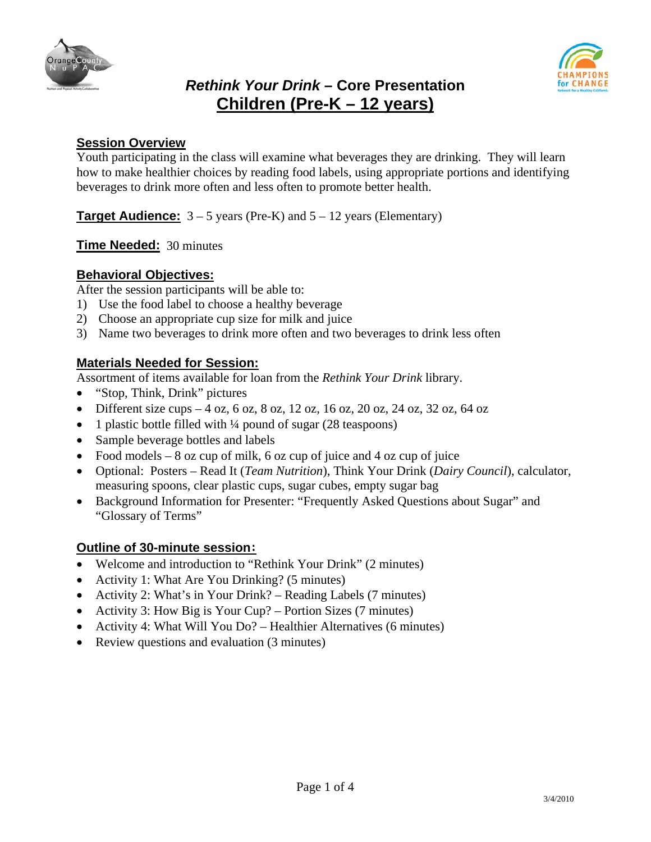





# **Session Overview**

Youth participating in the class will examine what beverages they are drinking. They will learn how to make healthier choices by reading food labels, using appropriate portions and identifying beverages to drink more often and less often to promote better health.

**Target Audience:**  $3 - 5$  years (Pre-K) and  $5 - 12$  years (Elementary)

**Time Needed:** 30 minutes

# **Behavioral Objectives:**

After the session participants will be able to:

- 1) Use the food label to choose a healthy beverage
- 2) Choose an appropriate cup size for milk and juice
- 3) Name two beverages to drink more often and two beverages to drink less often

# **Materials Needed for Session:**

Assortment of items available for loan from the *Rethink Your Drink* library.

- "Stop, Think, Drink" pictures
- Different size cups  $-4$  oz, 6 oz, 8 oz, 12 oz, 16 oz, 20 oz, 24 oz, 32 oz, 64 oz
- 1 plastic bottle filled with  $\frac{1}{4}$  pound of sugar (28 teaspoons)
- Sample beverage bottles and labels
- Food models  $-8$  oz cup of milk, 6 oz cup of juice and 4 oz cup of juice
- Optional: Posters Read It (*Team Nutrition*), Think Your Drink (*Dairy Council*), calculator, measuring spoons, clear plastic cups, sugar cubes, empty sugar bag
- Background Information for Presenter: "Frequently Asked Questions about Sugar" and "Glossary of Terms"

#### **Outline of 30-minute session:**

- Welcome and introduction to "Rethink Your Drink" (2 minutes)
- Activity 1: What Are You Drinking? (5 minutes)
- Activity 2: What's in Your Drink? Reading Labels (7 minutes)
- Activity 3: How Big is Your Cup? Portion Sizes (7 minutes)
- Activity 4: What Will You Do? Healthier Alternatives (6 minutes)
- Review questions and evaluation (3 minutes)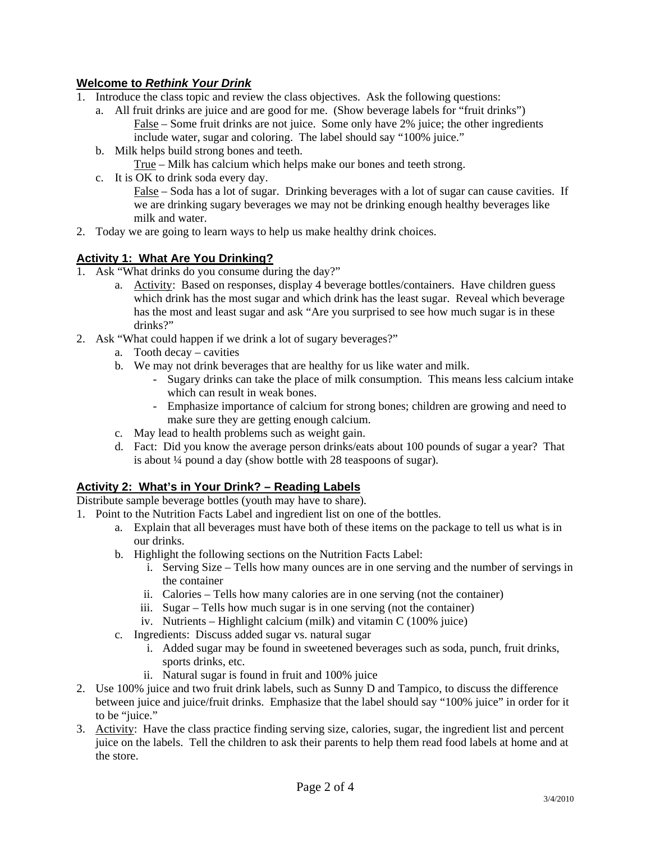# **Welcome to** *Rethink Your Drink*

- 1. Introduce the class topic and review the class objectives. Ask the following questions:
	- a. All fruit drinks are juice and are good for me. (Show beverage labels for "fruit drinks") False – Some fruit drinks are not juice. Some only have 2% juice; the other ingredients include water, sugar and coloring. The label should say "100% juice."
	- b. Milk helps build strong bones and teeth.

True – Milk has calcium which helps make our bones and teeth strong.

c. It is OK to drink soda every day.

False – Soda has a lot of sugar. Drinking beverages with a lot of sugar can cause cavities. If we are drinking sugary beverages we may not be drinking enough healthy beverages like milk and water.

2. Today we are going to learn ways to help us make healthy drink choices.

### **Activity 1: What Are You Drinking?**

- 1. Ask "What drinks do you consume during the day?"
	- a. Activity: Based on responses, display 4 beverage bottles/containers. Have children guess which drink has the most sugar and which drink has the least sugar. Reveal which beverage has the most and least sugar and ask "Are you surprised to see how much sugar is in these drinks?"
- 2. Ask "What could happen if we drink a lot of sugary beverages?"
	- a. Tooth decay cavities
	- b. We may not drink beverages that are healthy for us like water and milk.
		- Sugary drinks can take the place of milk consumption. This means less calcium intake which can result in weak bones.
		- Emphasize importance of calcium for strong bones; children are growing and need to make sure they are getting enough calcium.
	- c. May lead to health problems such as weight gain.
	- d. Fact: Did you know the average person drinks/eats about 100 pounds of sugar a year? That is about ¼ pound a day (show bottle with 28 teaspoons of sugar).

## **Activity 2: What's in Your Drink? – Reading Labels**

Distribute sample beverage bottles (youth may have to share).

- 1. Point to the Nutrition Facts Label and ingredient list on one of the bottles.
	- a. Explain that all beverages must have both of these items on the package to tell us what is in our drinks.
	- b. Highlight the following sections on the Nutrition Facts Label:
		- i. Serving Size Tells how many ounces are in one serving and the number of servings in the container
		- ii. Calories Tells how many calories are in one serving (not the container)
		- iii. Sugar Tells how much sugar is in one serving (not the container)
		- iv. Nutrients Highlight calcium (milk) and vitamin C (100% juice)
	- c. Ingredients: Discuss added sugar vs. natural sugar
		- i. Added sugar may be found in sweetened beverages such as soda, punch, fruit drinks, sports drinks, etc.
		- ii. Natural sugar is found in fruit and 100% juice
- 2. Use 100% juice and two fruit drink labels, such as Sunny D and Tampico, to discuss the difference between juice and juice/fruit drinks. Emphasize that the label should say "100% juice" in order for it to be "juice."
- 3. Activity: Have the class practice finding serving size, calories, sugar, the ingredient list and percent juice on the labels. Tell the children to ask their parents to help them read food labels at home and at the store.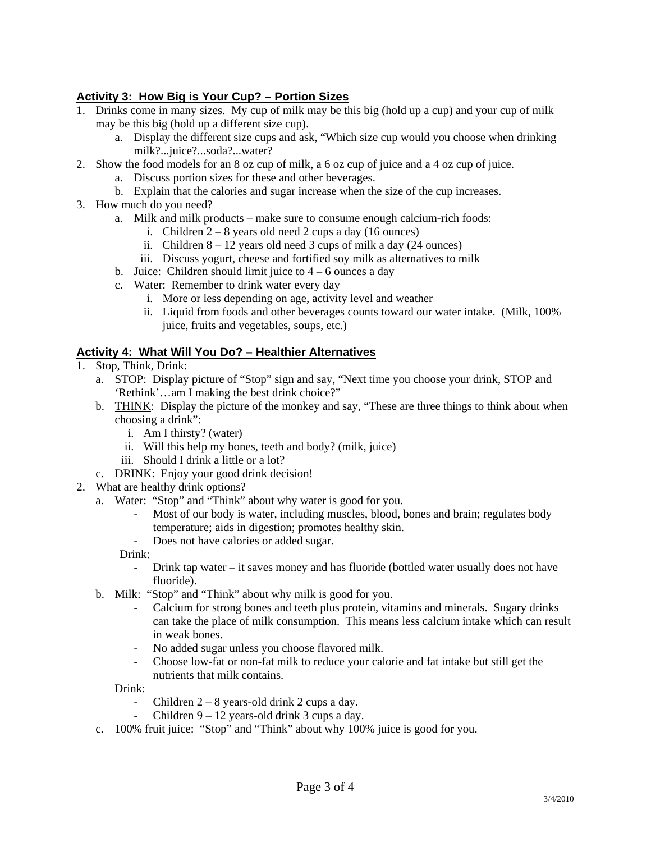## **Activity 3: How Big is Your Cup? – Portion Sizes**

- 1. Drinks come in many sizes. My cup of milk may be this big (hold up a cup) and your cup of milk may be this big (hold up a different size cup).
	- a. Display the different size cups and ask, "Which size cup would you choose when drinking milk?...juice?...soda?...water?
- 2. Show the food models for an 8 oz cup of milk, a 6 oz cup of juice and a 4 oz cup of juice.
	- a. Discuss portion sizes for these and other beverages.
	- b. Explain that the calories and sugar increase when the size of the cup increases.
- 3. How much do you need?
	- a. Milk and milk products make sure to consume enough calcium-rich foods:
		- i. Children  $2 8$  years old need 2 cups a day (16 ounces)
		- ii. Children  $8 12$  years old need 3 cups of milk a day (24 ounces)
		- iii. Discuss yogurt, cheese and fortified soy milk as alternatives to milk
	- b. Juice: Children should limit juice to  $4 6$  ounces a day
	- c. Water: Remember to drink water every day
		- i. More or less depending on age, activity level and weather
		- ii. Liquid from foods and other beverages counts toward our water intake. (Milk, 100% juice, fruits and vegetables, soups, etc.)

#### **Activity 4: What Will You Do? – Healthier Alternatives**

- 1. Stop, Think, Drink:
	- a. STOP: Display picture of "Stop" sign and say, "Next time you choose your drink, STOP and 'Rethink'…am I making the best drink choice?"
	- b. THINK: Display the picture of the monkey and say, "These are three things to think about when choosing a drink":
		- i. Am I thirsty? (water)
		- ii. Will this help my bones, teeth and body? (milk, juice)
		- iii. Should I drink a little or a lot?
	- c. DRINK: Enjoy your good drink decision!
- 2. What are healthy drink options?
	- a. Water: "Stop" and "Think" about why water is good for you.
		- Most of our body is water, including muscles, blood, bones and brain; regulates body temperature; aids in digestion; promotes healthy skin.
		- Does not have calories or added sugar.

Drink:

- Drink tap water it saves money and has fluoride (bottled water usually does not have fluoride).
- b. Milk: "Stop" and "Think" about why milk is good for you.
	- Calcium for strong bones and teeth plus protein, vitamins and minerals. Sugary drinks can take the place of milk consumption. This means less calcium intake which can result in weak bones.
	- No added sugar unless you choose flavored milk.
	- Choose low-fat or non-fat milk to reduce your calorie and fat intake but still get the nutrients that milk contains.

Drink:

- Children  $2 8$  years-old drink 2 cups a day.
- Children  $9 12$  years-old drink 3 cups a day.
- c. 100% fruit juice: "Stop" and "Think" about why 100% juice is good for you.